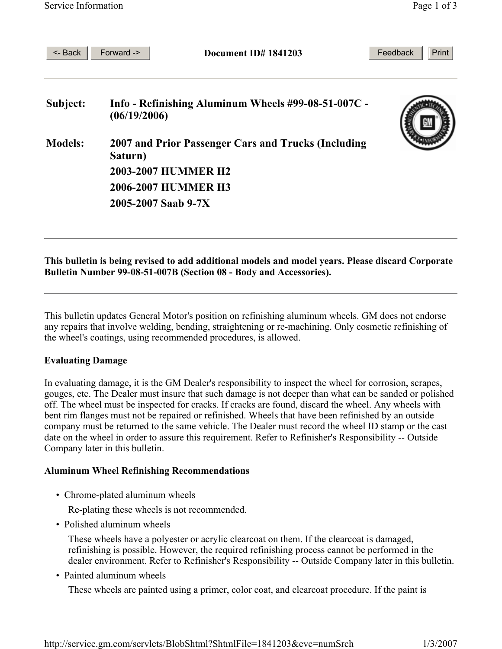| <- Back        | Forward-><br>Document ID# 1841203                                   | Feedback<br>Print |
|----------------|---------------------------------------------------------------------|-------------------|
| Subject:       | Info - Refinishing Aluminum Wheels #99-08-51-007C -<br>(06/19/2006) |                   |
| <b>Models:</b> | 2007 and Prior Passenger Cars and Trucks (Including<br>Saturn)      |                   |
|                | <b>2003-2007 HUMMER H2</b>                                          |                   |
|                | <b>2006-2007 HUMMER H3</b>                                          |                   |
|                | 2005-2007 Saab 9-7X                                                 |                   |
|                |                                                                     |                   |

## **This bulletin is being revised to add additional models and model years. Please discard Corporate Bulletin Number 99-08-51-007B (Section 08 - Body and Accessories).**

This bulletin updates General Motor's position on refinishing aluminum wheels. GM does not endorse any repairs that involve welding, bending, straightening or re-machining. Only cosmetic refinishing of the wheel's coatings, using recommended procedures, is allowed.

## **Evaluating Damage**

In evaluating damage, it is the GM Dealer's responsibility to inspect the wheel for corrosion, scrapes, gouges, etc. The Dealer must insure that such damage is not deeper than what can be sanded or polished off. The wheel must be inspected for cracks. If cracks are found, discard the wheel. Any wheels with bent rim flanges must not be repaired or refinished. Wheels that have been refinished by an outside company must be returned to the same vehicle. The Dealer must record the wheel ID stamp or the cast date on the wheel in order to assure this requirement. Refer to Refinisher's Responsibility -- Outside Company later in this bulletin.

# **Aluminum Wheel Refinishing Recommendations**

• Chrome-plated aluminum wheels

Re-plating these wheels is not recommended.

• Polished aluminum wheels

 These wheels have a polyester or acrylic clearcoat on them. If the clearcoat is damaged, refinishing is possible. However, the required refinishing process cannot be performed in the dealer environment. Refer to Refinisher's Responsibility -- Outside Company later in this bulletin.

• Painted aluminum wheels

These wheels are painted using a primer, color coat, and clearcoat procedure. If the paint is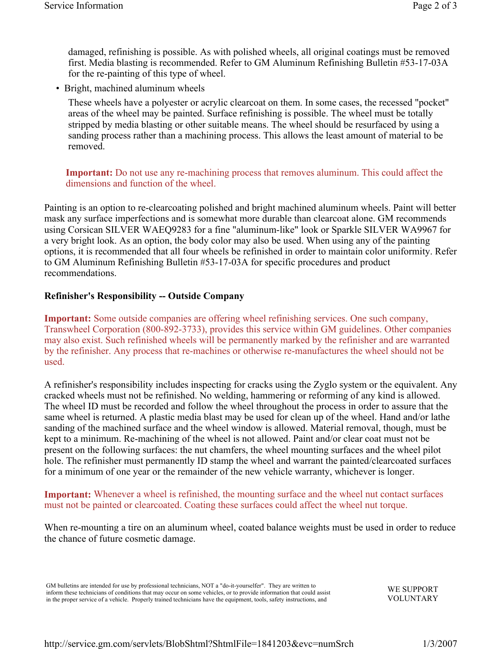damaged, refinishing is possible. As with polished wheels, all original coatings must be removed first. Media blasting is recommended. Refer to GM Aluminum Refinishing Bulletin #53-17-03A for the re-painting of this type of wheel.

• Bright, machined aluminum wheels

 These wheels have a polyester or acrylic clearcoat on them. In some cases, the recessed "pocket" areas of the wheel may be painted. Surface refinishing is possible. The wheel must be totally stripped by media blasting or other suitable means. The wheel should be resurfaced by using a sanding process rather than a machining process. This allows the least amount of material to be removed.

 **Important:** Do not use any re-machining process that removes aluminum. This could affect the dimensions and function of the wheel.

Painting is an option to re-clearcoating polished and bright machined aluminum wheels. Paint will better mask any surface imperfections and is somewhat more durable than clearcoat alone. GM recommends using Corsican SILVER WAEQ9283 for a fine "aluminum-like" look or Sparkle SILVER WA9967 for a very bright look. As an option, the body color may also be used. When using any of the painting options, it is recommended that all four wheels be refinished in order to maintain color uniformity. Refer to GM Aluminum Refinishing Bulletin #53-17-03A for specific procedures and product recommendations.

#### **Refinisher's Responsibility -- Outside Company**

**Important:** Some outside companies are offering wheel refinishing services. One such company, Transwheel Corporation (800-892-3733), provides this service within GM guidelines. Other companies may also exist. Such refinished wheels will be permanently marked by the refinisher and are warranted by the refinisher. Any process that re-machines or otherwise re-manufactures the wheel should not be used.

A refinisher's responsibility includes inspecting for cracks using the Zyglo system or the equivalent. Any cracked wheels must not be refinished. No welding, hammering or reforming of any kind is allowed. The wheel ID must be recorded and follow the wheel throughout the process in order to assure that the same wheel is returned. A plastic media blast may be used for clean up of the wheel. Hand and/or lathe sanding of the machined surface and the wheel window is allowed. Material removal, though, must be kept to a minimum. Re-machining of the wheel is not allowed. Paint and/or clear coat must not be present on the following surfaces: the nut chamfers, the wheel mounting surfaces and the wheel pilot hole. The refinisher must permanently ID stamp the wheel and warrant the painted/clearcoated surfaces for a minimum of one year or the remainder of the new vehicle warranty, whichever is longer.

#### **Important:** Whenever a wheel is refinished, the mounting surface and the wheel nut contact surfaces must not be painted or clearcoated. Coating these surfaces could affect the wheel nut torque.

When re-mounting a tire on an aluminum wheel, coated balance weights must be used in order to reduce the chance of future cosmetic damage.

GM bulletins are intended for use by professional technicians, NOT a "do-it-yourselfer". They are written to inform these technicians of conditions that may occur on some vehicles, or to provide information that could assist in the proper service of a vehicle. Properly trained technicians have the equipment, tools, safety instructions, and

WE SUPPORT VOLUNTARY